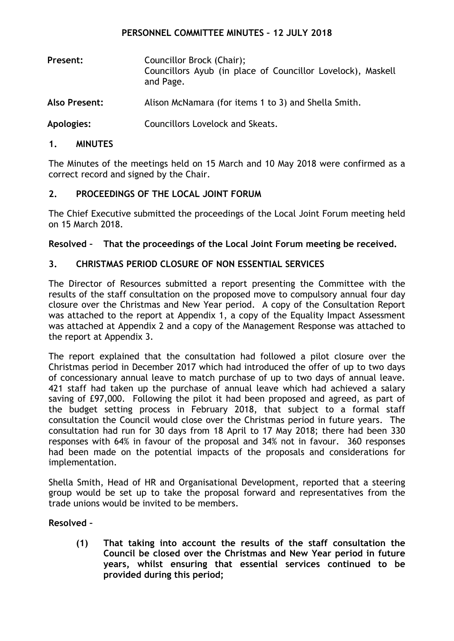### **PERSONNEL COMMITTEE MINUTES – 12 JULY 2018**

- **Present:** Councillor Brock (Chair); Councillors Ayub (in place of Councillor Lovelock), Maskell and Page.
- **Also Present:** Alison McNamara (for items 1 to 3) and Shella Smith.

**Apologies:** Councillors Lovelock and Skeats.

#### **1. MINUTES**

The Minutes of the meetings held on 15 March and 10 May 2018 were confirmed as a correct record and signed by the Chair.

### **2. PROCEEDINGS OF THE LOCAL JOINT FORUM**

The Chief Executive submitted the proceedings of the Local Joint Forum meeting held on 15 March 2018.

### **Resolved – That the proceedings of the Local Joint Forum meeting be received.**

### **3. CHRISTMAS PERIOD CLOSURE OF NON ESSENTIAL SERVICES**

The Director of Resources submitted a report presenting the Committee with the results of the staff consultation on the proposed move to compulsory annual four day closure over the Christmas and New Year period. A copy of the Consultation Report was attached to the report at Appendix 1, a copy of the Equality Impact Assessment was attached at Appendix 2 and a copy of the Management Response was attached to the report at Appendix 3.

The report explained that the consultation had followed a pilot closure over the Christmas period in December 2017 which had introduced the offer of up to two days of concessionary annual leave to match purchase of up to two days of annual leave. 421 staff had taken up the purchase of annual leave which had achieved a salary saving of £97,000. Following the pilot it had been proposed and agreed, as part of the budget setting process in February 2018, that subject to a formal staff consultation the Council would close over the Christmas period in future years. The consultation had run for 30 days from 18 April to 17 May 2018; there had been 330 responses with 64% in favour of the proposal and 34% not in favour. 360 responses had been made on the potential impacts of the proposals and considerations for implementation.

Shella Smith, Head of HR and Organisational Development, reported that a steering group would be set up to take the proposal forward and representatives from the trade unions would be invited to be members.

### **Resolved –**

**(1) That taking into account the results of the staff consultation the Council be closed over the Christmas and New Year period in future years, whilst ensuring that essential services continued to be provided during this period;**